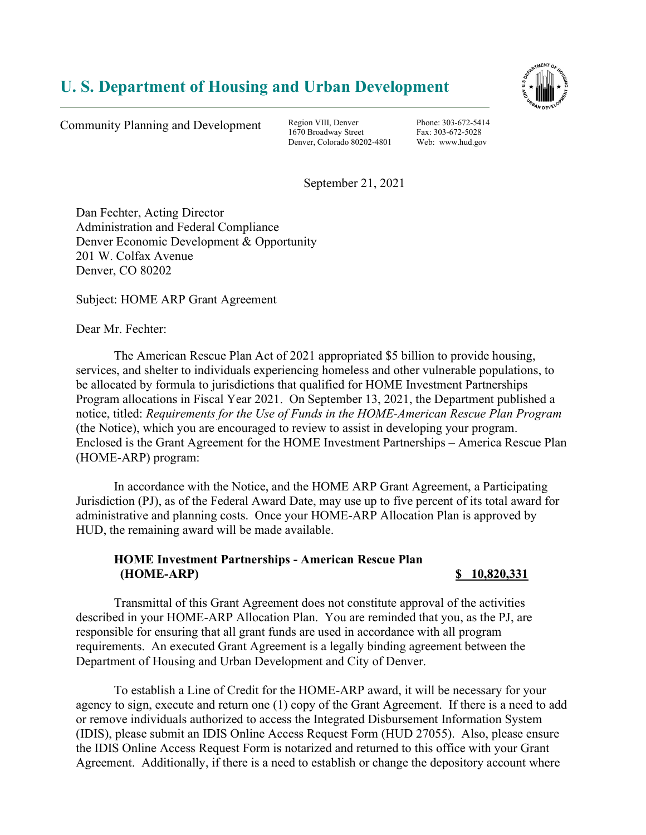## U. S. Department of Housing and Urban Development



Community Planning and Development Region VIII, Denver

1670 Broadway Street Denver, Colorado 80202-4801

Phone: 303-672-5414 Fax: 303-672-5028 Web: www.hud.gov

September 21, 2021

Dan Fechter, Acting Director Administration and Federal Compliance Denver Economic Development & Opportunity 201 W. Colfax Avenue Denver, CO 80202

Subject: HOME ARP Grant Agreement

Dear Mr. Fechter:

The American Rescue Plan Act of 2021 appropriated \$5 billion to provide housing, services, and shelter to individuals experiencing homeless and other vulnerable populations, to be allocated by formula to jurisdictions that qualified for HOME Investment Partnerships Program allocations in Fiscal Year 2021. On September 13, 2021, the Department published a notice, titled: Requirements for the Use of Funds in the HOME-American Rescue Plan Program (the Notice), which you are encouraged to review to assist in developing your program. Enclosed is the Grant Agreement for the HOME Investment Partnerships – America Rescue Plan (HOME-ARP) program:

In accordance with the Notice, and the HOME ARP Grant Agreement, a Participating Jurisdiction (PJ), as of the Federal Award Date, may use up to five percent of its total award for administrative and planning costs. Once your HOME-ARP Allocation Plan is approved by HUD, the remaining award will be made available.

## HOME Investment Partnerships - American Rescue Plan (HOME-ARP) \$ 10,820,331

 Transmittal of this Grant Agreement does not constitute approval of the activities described in your HOME-ARP Allocation Plan. You are reminded that you, as the PJ, are responsible for ensuring that all grant funds are used in accordance with all program requirements. An executed Grant Agreement is a legally binding agreement between the Department of Housing and Urban Development and City of Denver.

 To establish a Line of Credit for the HOME-ARP award, it will be necessary for your agency to sign, execute and return one (1) copy of the Grant Agreement. If there is a need to add or remove individuals authorized to access the Integrated Disbursement Information System (IDIS), please submit an IDIS Online Access Request Form (HUD 27055). Also, please ensure the IDIS Online Access Request Form is notarized and returned to this office with your Grant Agreement. Additionally, if there is a need to establish or change the depository account where